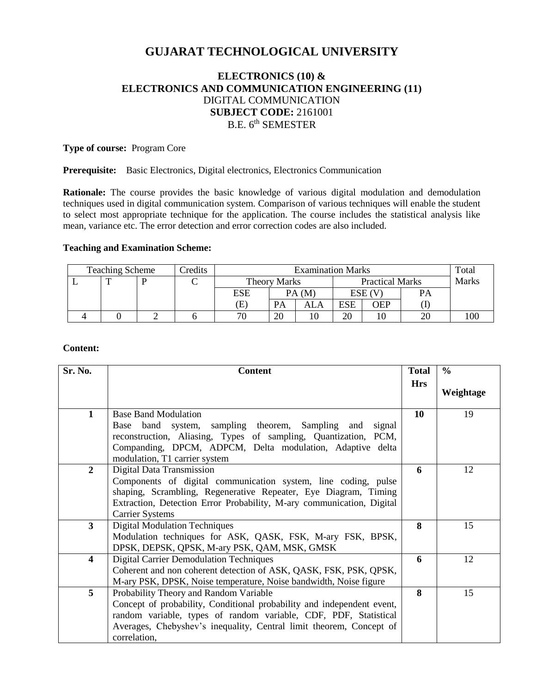# **GUJARAT TECHNOLOGICAL UNIVERSITY**

## **ELECTRONICS (10) & ELECTRONICS AND COMMUNICATION ENGINEERING (11)** DIGITAL COMMUNICATION **SUBJECT CODE:** 2161001 B.E. 6<sup>th</sup> SEMESTER

#### **Type of course:** Program Core

#### **Prerequisite:** Basic Electronics, Digital electronics, Electronics Communication

**Rationale:** The course provides the basic knowledge of various digital modulation and demodulation techniques used in digital communication system. Comparison of various techniques will enable the student to select most appropriate technique for the application. The course includes the statistical analysis like mean, variance etc. The error detection and error correction codes are also included.

#### **Teaching and Examination Scheme:**

| <b>Teaching Scheme</b> |              |  | <b>Predits</b> | <b>Examination Marks</b> |       |                        |        | Total |           |         |
|------------------------|--------------|--|----------------|--------------------------|-------|------------------------|--------|-------|-----------|---------|
|                        | $\mathbf{r}$ |  |                | <b>Theory Marks</b>      |       | <b>Practical Marks</b> |        |       | Marks     |         |
|                        |              |  |                | ESE                      | PA(M) |                        | ESE (V |       | <b>PA</b> |         |
|                        |              |  |                | (E)                      | PA    | ALA                    | ESE    | OEP   |           |         |
|                        |              |  |                | 70                       | 20    |                        | 20     |       | 20        | $100 -$ |

#### **Content:**

| Sr. No.                 | <b>Content</b>                                                         | <b>Total</b> | $\frac{6}{6}$ |
|-------------------------|------------------------------------------------------------------------|--------------|---------------|
|                         |                                                                        | <b>Hrs</b>   |               |
|                         |                                                                        |              | Weightage     |
| 1                       | <b>Base Band Modulation</b>                                            | 10           | 19            |
|                         | band system, sampling theorem, Sampling and<br>signal<br>Base          |              |               |
|                         | reconstruction, Aliasing, Types of sampling, Quantization, PCM,        |              |               |
|                         | Companding, DPCM, ADPCM, Delta modulation, Adaptive delta              |              |               |
|                         | modulation, T1 carrier system                                          |              |               |
| $\overline{2}$          | Digital Data Transmission                                              | 6            | 12            |
|                         | Components of digital communication system, line coding, pulse         |              |               |
|                         | shaping, Scrambling, Regenerative Repeater, Eye Diagram, Timing        |              |               |
|                         | Extraction, Detection Error Probability, M-ary communication, Digital  |              |               |
|                         | <b>Carrier Systems</b>                                                 |              |               |
| $\mathbf{3}$            | <b>Digital Modulation Techniques</b>                                   | 8            | 15            |
|                         | Modulation techniques for ASK, QASK, FSK, M-ary FSK, BPSK,             |              |               |
|                         | DPSK, DEPSK, QPSK, M-ary PSK, QAM, MSK, GMSK                           |              |               |
| $\overline{\mathbf{4}}$ | <b>Digital Carrier Demodulation Techniques</b>                         | 6            | 12            |
|                         | Coherent and non coherent detection of ASK, QASK, FSK, PSK, QPSK,      |              |               |
|                         | M-ary PSK, DPSK, Noise temperature, Noise bandwidth, Noise figure      |              |               |
| 5                       | Probability Theory and Random Variable                                 | 8            | 15            |
|                         | Concept of probability, Conditional probability and independent event, |              |               |
|                         | random variable, types of random variable, CDF, PDF, Statistical       |              |               |
|                         | Averages, Chebyshev's inequality, Central limit theorem, Concept of    |              |               |
|                         | correlation,                                                           |              |               |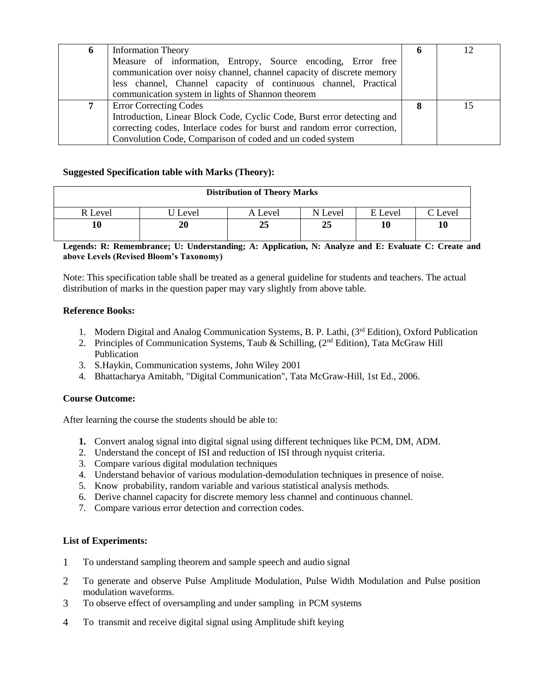| 6 | <b>Information Theory</b>                                                | o | 12 |
|---|--------------------------------------------------------------------------|---|----|
|   | Measure of information, Entropy, Source encoding, Error free             |   |    |
|   | communication over noisy channel, channel capacity of discrete memory    |   |    |
|   | less channel, Channel capacity of continuous channel, Practical          |   |    |
|   | communication system in lights of Shannon theorem                        |   |    |
|   | <b>Error Correcting Codes</b>                                            |   |    |
|   | Introduction, Linear Block Code, Cyclic Code, Burst error detecting and  |   |    |
|   | correcting codes, Interlace codes for burst and random error correction, |   |    |
|   | Convolution Code, Comparison of coded and un coded system                |   |    |

## **Suggested Specification table with Marks (Theory):**

| <b>Distribution of Theory Marks</b> |       |         |         |         |                 |  |  |
|-------------------------------------|-------|---------|---------|---------|-----------------|--|--|
| R Level                             | Level | A Level | N Level | E Level | $\degree$ Level |  |  |
| 10                                  | 20    | 25      | 25      | 10      | 10              |  |  |

#### **Legends: R: Remembrance; U: Understanding; A: Application, N: Analyze and E: Evaluate C: Create and above Levels (Revised Bloom's Taxonomy)**

Note: This specification table shall be treated as a general guideline for students and teachers. The actual distribution of marks in the question paper may vary slightly from above table.

## **Reference Books:**

- 1. Modern Digital and Analog Communication Systems, B. P. Lathi, (3<sup>rd</sup> Edition), Oxford Publication
- 2. Principles of Communication Systems, Taub & Schilling,  $(2<sup>nd</sup> Edition)$ , Tata McGraw Hill Publication
- 3. S.Haykin, Communication systems, John Wiley 2001
- 4. Bhattacharya Amitabh, "Digital Communication", Tata McGraw-Hill, 1st Ed., 2006.

## **Course Outcome:**

After learning the course the students should be able to:

- **1.** Convert analog signal into digital signal using different techniques like PCM, DM, ADM.
- 2. Understand the concept of ISI and reduction of ISI through nyquist criteria.
- 3. Compare various digital modulation techniques
- 4. Understand behavior of various modulation-demodulation techniques in presence of noise.
- 5. Know probability, random variable and various statistical analysis methods.
- 6. Derive channel capacity for discrete memory less channel and continuous channel.
- 7. Compare various error detection and correction codes.

#### **List of Experiments:**

- 1 To understand sampling theorem and sample speech and audio signal
- 2 To generate and observe Pulse Amplitude Modulation, Pulse Width Modulation and Pulse position modulation waveforms.
- 3 To observe effect of oversampling and under sampling in PCM systems
- 4 To transmit and receive digital signal using Amplitude shift keying